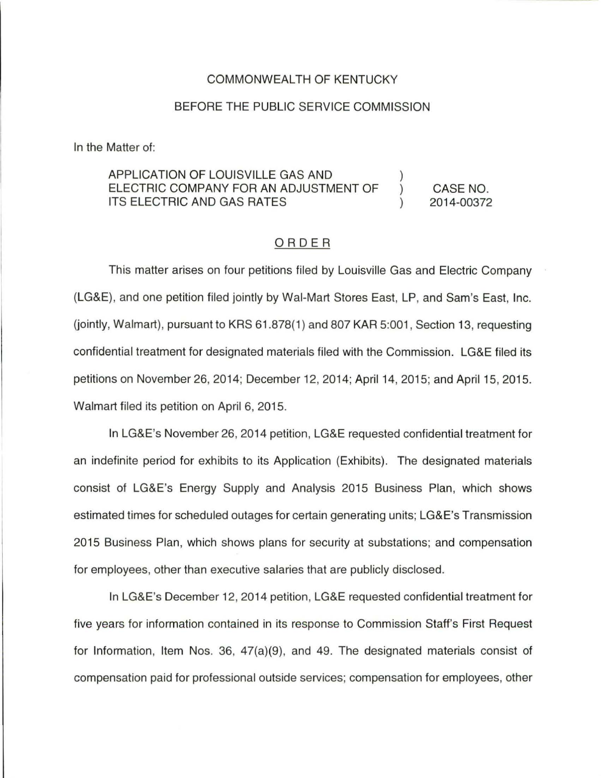## COMMONWEALTH OF KENTUCKY

## BEFORE THE PUBLIC SERVICE COMMISSION

In the Matter of:

## APPLICATION OF LOUISVILLE GAS AND ELECTRIC COMPANY FOR AN ADJUSTMENT OF ITS ELECTRIC AND GAS RATES CASE NO. 2014-00372

## ORDER

This matter arises on four petitions filed by Louisville Gas and Electric Company (LG&E), and one petition filed jointly by Wal-Mart Stores East, LP, and Sam's East, Inc.  $(iointly, Walmart)$ , pursuant to KRS 61.878 $(1)$  and 807 KAR 5:001. Section 13, requesting confidential treatment for designated materials filed with the Commission. LG&E filed its petitions on November 26, 2014; December 12, 2014; April 14, 2015; and April 15, 2015. Walmart filed its petition on April 6, 2015.

In LG&E's November 26, 2014 petition, LG&E requested confidential treatment for an indefinite period for exhibits to its Application (Exhibits). The designated materials consist of LG&E's Energy Supply and Analysis 2015 Business Plan, which shows estimated times for scheduled outages for certain generating units; LG&E's Transmission 2015 Business Plan, which shows plans for security at substations; and compensation for employees, other than executive salaries that are publicly disclosed.

In LG&E's December 12, 2014 petition, LG&E requested confidential treatment for five years for information contained in its response to Commission Staff's First Request for Information, Item Nos. 36, 47(a)(9), and 49. The designated materials consist of compensation paid for professional outside services; compensation for employees, other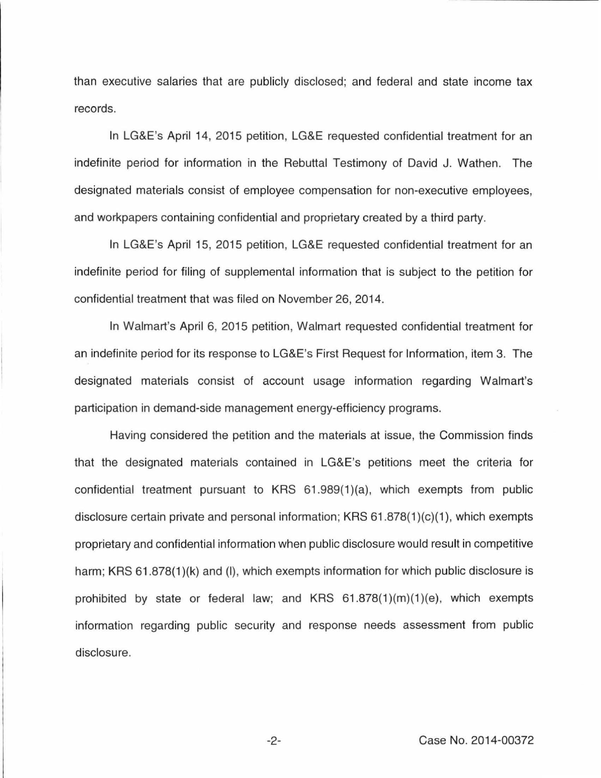than executive salaries that are publicly disclosed; and federal and state income tax records.

In LG&E's April 14, 2015 petition, LG&E requested confidential treatment for an indefinite period for information in the Rebuttal Testimony of David J. Wathen. The designated materials consist of employee compensation for non-executive employees, and workpapers containing confidential and proprietary created by a third party.

In LG&E's April 15, 2015 petition, LG&E requested confidential treatment for an indefinite period for filing of supplemental information that is subject to the petition for confidential treatment that was filed on November 26, 2014.

In Walmart's April 6, 2015 petition, Walmart requested confidential treatment for an indefinite period for its response to LG&E's First Request for Information, item 3. The designated materials consist of account usage information regarding Walmart's participation in demand-side management energy-efficiency programs.

Having considered the petition and the materials at issue, the Commission finds that the designated materials contained in LG&E's petitions meet the criteria for confidential treatment pursuant to KRS 61.989(1)(a), which exempts from public disclosure certain private and personal information; KRS 61 .878(1 )(c)(1 ), which exempts proprietary and confidential information when public disclosure would result in competitive harm; KRS 61.878(1)(k) and (I), which exempts information for which public disclosure is prohibited by state or federal law; and KRS  $61.878(1)(m)(1)(e)$ , which exempts information regarding public security and response needs assessment from public disclosure.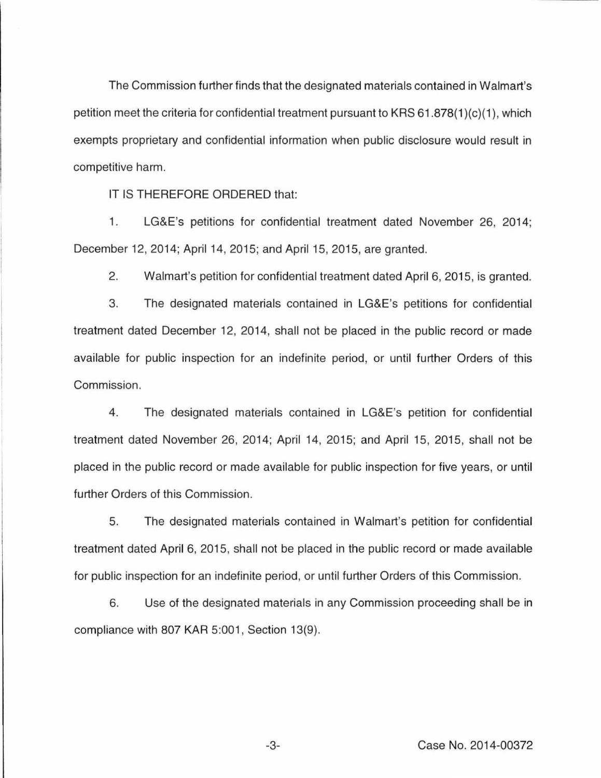The Commission further finds that the designated materials contained in Walmart's petition meet the criteria for confidential treatment pursuant to KRS 61.878(1 )(c)(1 ), which exempts proprietary and confidential information when public disclosure would result in competitive harm.

IT IS THEREFORE ORDERED that:

1. LG&E's petitions for confidential treatment dated November 26, 2014; December 12, 2014; April 14, 2015; and April 15, 2015, are granted.

2. Walmart's petition for confidential treatment dated April 6, 2015, is granted.

3. The designated materials contained in LG&E's petitions for confidential treatment dated December 12, 2014, shall not be placed in the public record or made available for public inspection for an indefinite period, or until further Orders of this Commission.

4. The designated materials contained in LG&E's petition for confidential treatment dated November 26, 2014; April 14, 2015; and April 15, 2015, shall not be placed in the public record or made available for public inspection for five years, or until further Orders of this Commission.

5. The designated materials contained in Walmart's petition for confidential treatment dated April 6, 2015, shall not be placed in the public record or made available for public inspection for an indefinite period, or until further Orders of this Commission.

6. Use of the designated materials in any Commission proceeding shall be in compliance with 807 KAR 5:001, Section 13(9).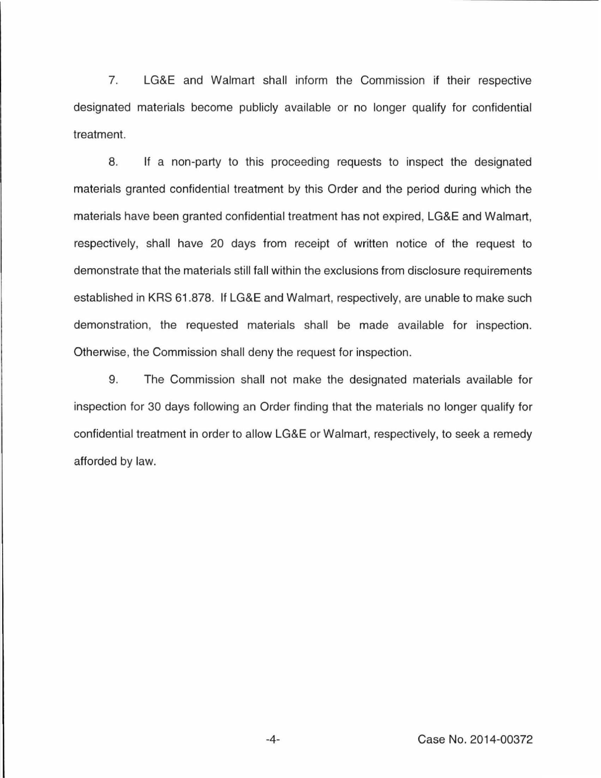7. LG&E and Walmart shall inform the Commission if their respective designated materials become publicly available or no longer qualify for confidential treatment.

8. If a non-party to this proceeding requests to inspect the designated materials granted confidential treatment by this Order and the period during which the materials have been granted confidential treatment has not expired, LG&E and Walmart, respectively, shall have 20 days from receipt of written notice of the request to demonstrate that the materials still fall within the exclusions from disclosure requirements established in KRS 61 .878. If LG&E and Walmart, respectively, are unable to make such demonstration, the requested materials shall be made available for inspection. Otherwise, the Commission shall deny the request for inspection.

9. The Commission shall not make the designated materials available for inspection for 30 days following an Order finding that the materials no longer qualify for confidential treatment in order to allow LG&E or Walmart, respectively, to seek a remedy afforded by law.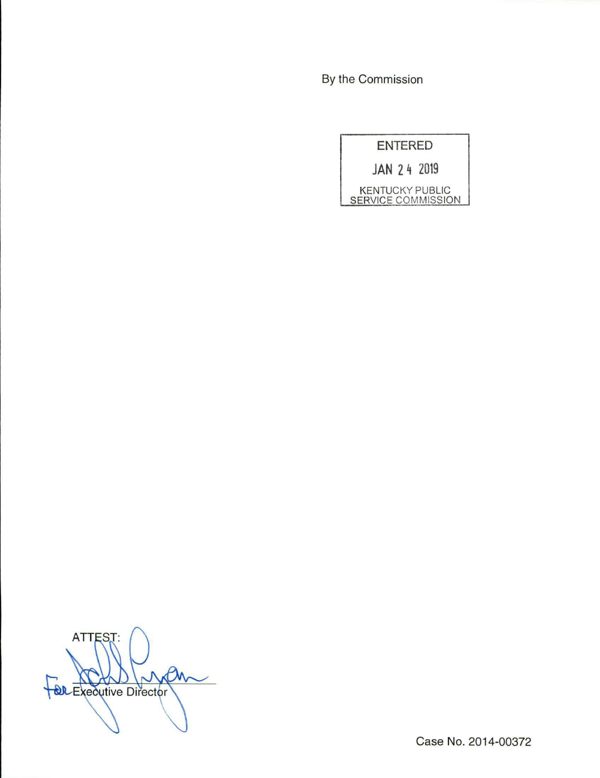By the Commission

| <b>ENTERED</b>                               |  |
|----------------------------------------------|--|
| JAN 24 2019                                  |  |
| <b>KENTUCKY PUBLIC</b><br>SERVICE COMMISSION |  |

ATTEST: For Executive Director

Case No. 2014-00372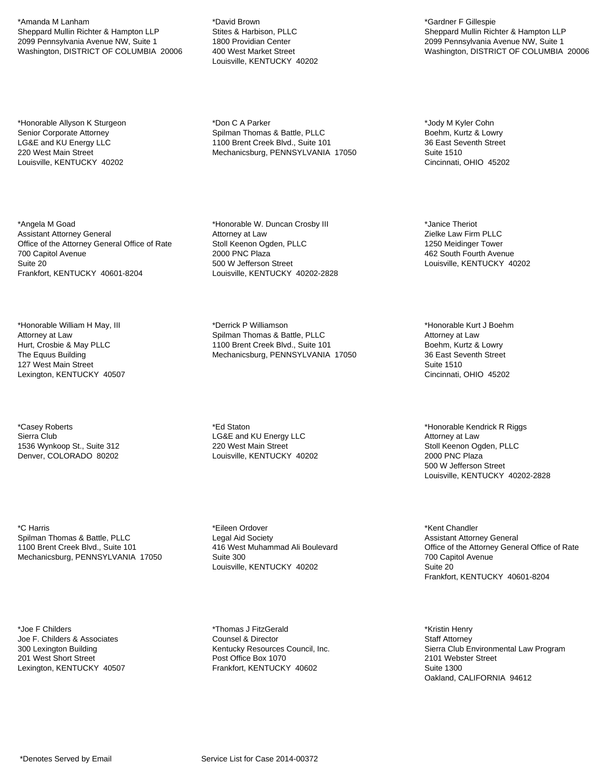\*Amanda M Lanham Sheppard Mullin Richter & Hampton LLP 2099 Pennsylvania Avenue NW, Suite 1 Washington, DISTRICT OF COLUMBIA 20006

\*Honorable Allyson K Sturgeon Senior Corporate Attorney LG&E and KU Energy LLC 220 West Main Street Louisville, KENTUCKY 40202

\*Angela M Goad Assistant Attorney General Office of the Attorney General Office of Rate 700 Capitol Avenue Suite 20 Frankfort, KENTUCKY 40601-8204

\*Honorable William H May, III Attorney at Law Hurt, Crosbie & May PLLC The Equus Building 127 West Main Street Lexington, KENTUCKY 40507

\*Casey Roberts Sierra Club 1536 Wynkoop St., Suite 312 Denver, COLORADO 80202

\*C Harris Spilman Thomas & Battle, PLLC 1100 Brent Creek Blvd., Suite 101 Mechanicsburg, PENNSYLVANIA 17050

\*Joe F Childers Joe F. Childers & Associates 300 Lexington Building 201 West Short Street Lexington, KENTUCKY 40507

\*David Brown Stites & Harbison, PLLC 1800 Providian Center 400 West Market Street Louisville, KENTUCKY 40202

\*Don C A Parker Spilman Thomas & Battle, PLLC 1100 Brent Creek Blvd., Suite 101 Mechanicsburg, PENNSYLVANIA 17050

\*Honorable W. Duncan Crosby III Attorney at Law Stoll Keenon Ogden, PLLC 2000 PNC Plaza 500 W Jefferson Street Louisville, KENTUCKY 40202-2828

\*Derrick P Williamson Spilman Thomas & Battle, PLLC 1100 Brent Creek Blvd., Suite 101 Mechanicsburg, PENNSYLVANIA 17050

\*Ed Staton LG&E and KU Energy LLC 220 West Main Street Louisville, KENTUCKY 40202

\*Eileen Ordover Legal Aid Society 416 West Muhammad Ali Boulevard Suite 300 Louisville, KENTUCKY 40202

\*Thomas J FitzGerald Counsel & Director Kentucky Resources Council, Inc. Post Office Box 1070 Frankfort, KENTUCKY 40602

\*Gardner F Gillespie Sheppard Mullin Richter & Hampton LLP 2099 Pennsylvania Avenue NW, Suite 1 Washington, DISTRICT OF COLUMBIA 20006

\*Jody M Kyler Cohn Boehm, Kurtz & Lowry 36 East Seventh Street Suite 1510 Cincinnati, OHIO 45202

\*Janice Theriot Zielke Law Firm PLLC 1250 Meidinger Tower 462 South Fourth Avenue Louisville, KENTUCKY 40202

\*Honorable Kurt J Boehm Attorney at Law Boehm, Kurtz & Lowry 36 East Seventh Street Suite 1510 Cincinnati, OHIO 45202

\*Honorable Kendrick R Riggs Attorney at Law Stoll Keenon Ogden, PLLC 2000 PNC Plaza 500 W Jefferson Street Louisville, KENTUCKY 40202-2828

\*Kent Chandler Assistant Attorney General Office of the Attorney General Office of Rate 700 Capitol Avenue Suite 20 Frankfort, KENTUCKY 40601-8204

\*Kristin Henry Staff Attorney Sierra Club Environmental Law Program 2101 Webster Street Suite 1300 Oakland, CALIFORNIA 94612